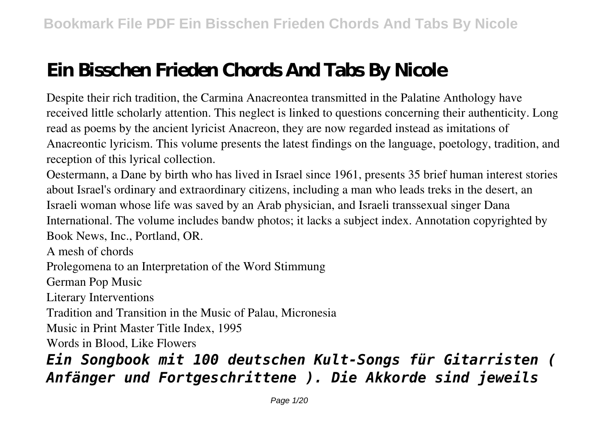## **Ein Bisschen Frieden Chords And Tabs By Nicole**

Despite their rich tradition, the Carmina Anacreontea transmitted in the Palatine Anthology have received little scholarly attention. This neglect is linked to questions concerning their authenticity. Long read as poems by the ancient lyricist Anacreon, they are now regarded instead as imitations of Anacreontic lyricism. This volume presents the latest findings on the language, poetology, tradition, and reception of this lyrical collection.

Oestermann, a Dane by birth who has lived in Israel since 1961, presents 35 brief human interest stories about Israel's ordinary and extraordinary citizens, including a man who leads treks in the desert, an Israeli woman whose life was saved by an Arab physician, and Israeli transsexual singer Dana International. The volume includes bandw photos; it lacks a subject index. Annotation copyrighted by Book News, Inc., Portland, OR.

A mesh of chords

Prolegomena to an Interpretation of the Word Stimmung

German Pop Music

Literary Interventions

Tradition and Transition in the Music of Palau, Micronesia

Music in Print Master Title Index, 1995

Words in Blood, Like Flowers

## *Ein Songbook mit 100 deutschen Kult-Songs für Gitarristen ( Anfänger und Fortgeschrittene ). Die Akkorde sind jeweils*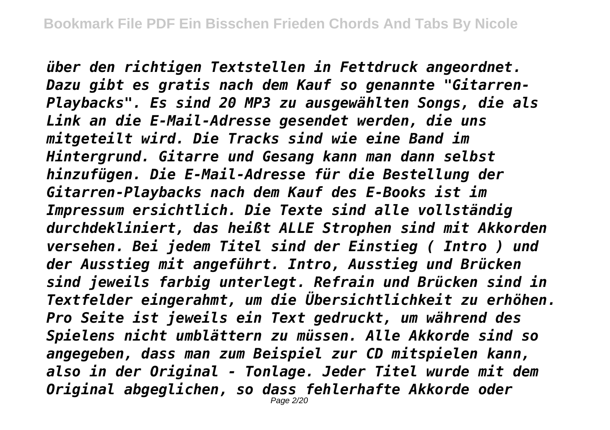*über den richtigen Textstellen in Fettdruck angeordnet. Dazu gibt es gratis nach dem Kauf so genannte "Gitarren-Playbacks". Es sind 20 MP3 zu ausgewählten Songs, die als Link an die E-Mail-Adresse gesendet werden, die uns mitgeteilt wird. Die Tracks sind wie eine Band im Hintergrund. Gitarre und Gesang kann man dann selbst hinzufügen. Die E-Mail-Adresse für die Bestellung der Gitarren-Playbacks nach dem Kauf des E-Books ist im Impressum ersichtlich. Die Texte sind alle vollständig durchdekliniert, das heißt ALLE Strophen sind mit Akkorden versehen. Bei jedem Titel sind der Einstieg ( Intro ) und der Ausstieg mit angeführt. Intro, Ausstieg und Brücken sind jeweils farbig unterlegt. Refrain und Brücken sind in Textfelder eingerahmt, um die Übersichtlichkeit zu erhöhen. Pro Seite ist jeweils ein Text gedruckt, um während des Spielens nicht umblättern zu müssen. Alle Akkorde sind so angegeben, dass man zum Beispiel zur CD mitspielen kann, also in der Original - Tonlage. Jeder Titel wurde mit dem Original abgeglichen, so dass fehlerhafte Akkorde oder*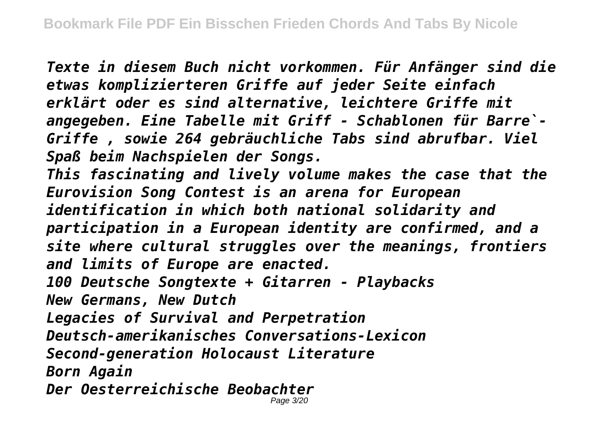*Texte in diesem Buch nicht vorkommen. Für Anfänger sind die etwas komplizierteren Griffe auf jeder Seite einfach erklärt oder es sind alternative, leichtere Griffe mit angegeben. Eine Tabelle mit Griff - Schablonen für Barre`- Griffe , sowie 264 gebräuchliche Tabs sind abrufbar. Viel Spaß beim Nachspielen der Songs. This fascinating and lively volume makes the case that the Eurovision Song Contest is an arena for European identification in which both national solidarity and participation in a European identity are confirmed, and a site where cultural struggles over the meanings, frontiers and limits of Europe are enacted. 100 Deutsche Songtexte + Gitarren - Playbacks New Germans, New Dutch Legacies of Survival and Perpetration Deutsch-amerikanisches Conversations-Lexicon Second-generation Holocaust Literature Born Again Der Oesterreichische Beobachter* Page 3/20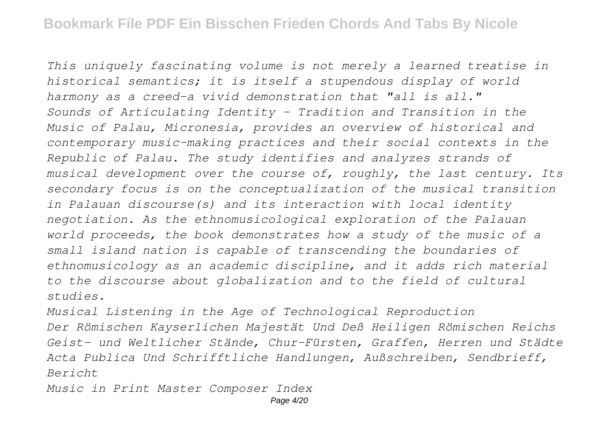*This uniquely fascinating volume is not merely a learned treatise in historical semantics; it is itself a stupendous display of world harmony as a creed-a vivid demonstration that "all is all." Sounds of Articulating Identity - Tradition and Transition in the Music of Palau, Micronesia, provides an overview of historical and contemporary music-making practices and their social contexts in the Republic of Palau. The study identifies and analyzes strands of musical development over the course of, roughly, the last century. Its secondary focus is on the conceptualization of the musical transition in Palauan discourse(s) and its interaction with local identity negotiation. As the ethnomusicological exploration of the Palauan world proceeds, the book demonstrates how a study of the music of a small island nation is capable of transcending the boundaries of ethnomusicology as an academic discipline, and it adds rich material to the discourse about globalization and to the field of cultural studies.*

*Musical Listening in the Age of Technological Reproduction Der Römischen Kayserlichen Majestät Und Deß Heiligen Römischen Reichs Geist- und Weltlicher Stände, Chur-Fürsten, Graffen, Herren und Städte Acta Publica Und Schrifftliche Handlungen, Außschreiben, Sendbrieff, Bericht*

*Music in Print Master Composer Index*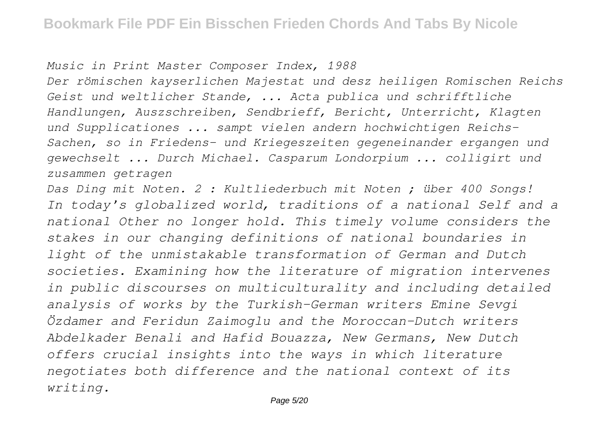*Music in Print Master Composer Index, 1988*

*Der römischen kayserlichen Majestat und desz heiligen Romischen Reichs Geist und weltlicher Stande, ... Acta publica und schrifftliche Handlungen, Auszschreiben, Sendbrieff, Bericht, Unterricht, Klagten und Supplicationes ... sampt vielen andern hochwichtigen Reichs-Sachen, so in Friedens- und Kriegeszeiten gegeneinander ergangen und gewechselt ... Durch Michael. Casparum Londorpium ... colligirt und zusammen getragen*

*Das Ding mit Noten. 2 : Kultliederbuch mit Noten ; über 400 Songs! In today's globalized world, traditions of a national Self and a national Other no longer hold. This timely volume considers the stakes in our changing definitions of national boundaries in light of the unmistakable transformation of German and Dutch societies. Examining how the literature of migration intervenes in public discourses on multiculturality and including detailed analysis of works by the Turkish-German writers Emine Sevgi Özdamer and Feridun Zaimoglu and the Moroccan-Dutch writers Abdelkader Benali and Hafid Bouazza, New Germans, New Dutch offers crucial insights into the ways in which literature negotiates both difference and the national context of its writing.*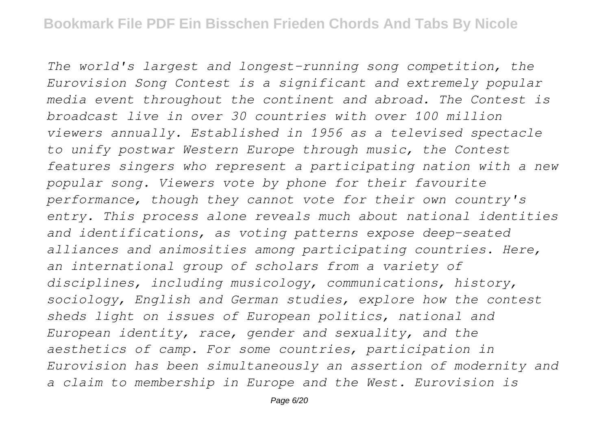*The world's largest and longest-running song competition, the Eurovision Song Contest is a significant and extremely popular media event throughout the continent and abroad. The Contest is broadcast live in over 30 countries with over 100 million viewers annually. Established in 1956 as a televised spectacle to unify postwar Western Europe through music, the Contest features singers who represent a participating nation with a new popular song. Viewers vote by phone for their favourite performance, though they cannot vote for their own country's entry. This process alone reveals much about national identities and identifications, as voting patterns expose deep-seated alliances and animosities among participating countries. Here, an international group of scholars from a variety of disciplines, including musicology, communications, history, sociology, English and German studies, explore how the contest sheds light on issues of European politics, national and European identity, race, gender and sexuality, and the aesthetics of camp. For some countries, participation in Eurovision has been simultaneously an assertion of modernity and a claim to membership in Europe and the West. Eurovision is*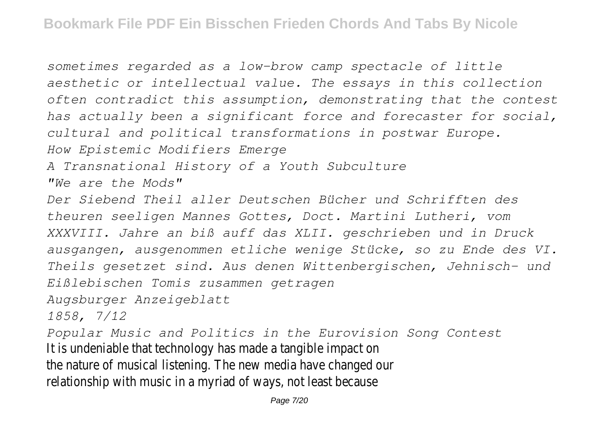*sometimes regarded as a low-brow camp spectacle of little aesthetic or intellectual value. The essays in this collection often contradict this assumption, demonstrating that the contest has actually been a significant force and forecaster for social, cultural and political transformations in postwar Europe. How Epistemic Modifiers Emerge A Transnational History of a Youth Subculture "We are the Mods" Der Siebend Theil aller Deutschen Bücher und Schrifften des theuren seeligen Mannes Gottes, Doct. Martini Lutheri, vom XXXVIII. Jahre an biß auff das XLII. geschrieben und in Druck ausgangen, ausgenommen etliche wenige Stücke, so zu Ende des VI. Theils gesetzet sind. Aus denen Wittenbergischen, Jehnisch- und Eißlebischen Tomis zusammen getragen Augsburger Anzeigeblatt 1858, 7/12 Popular Music and Politics in the Eurovision Song Contest* It is undeniable that technology has made a tangible impact on the nature of musical listening. The new media have changed our relationship with music in a myriad of ways, not least because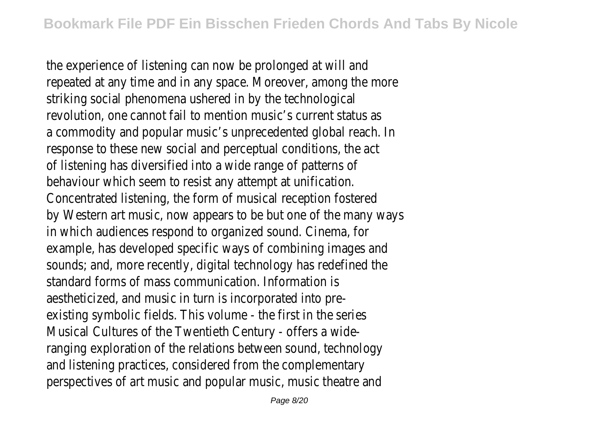the experience of listening can now be prolonged at will and repeated at any time and in any space. Moreover, among the more striking social phenomena ushered in by the technological revolution, one cannot fail to mention music's current status as a commodity and popular music's unprecedented global reach. In response to these new social and perceptual conditions, the act of listening has diversified into a wide range of patterns of behaviour which seem to resist any attempt at unification. Concentrated listening, the form of musical reception fostered by Western art music, now appears to be but one of the many ways in which audiences respond to organized sound. Cinema, for example, has developed specific ways of combining images and sounds; and, more recently, digital technology has redefined the standard forms of mass communication. Information is aestheticized, and music in turn is incorporated into preexisting symbolic fields. This volume - the first in the series Musical Cultures of the Twentieth Century - offers a wideranging exploration of the relations between sound, technology and listening practices, considered from the complementary perspectives of art music and popular music, music theatre and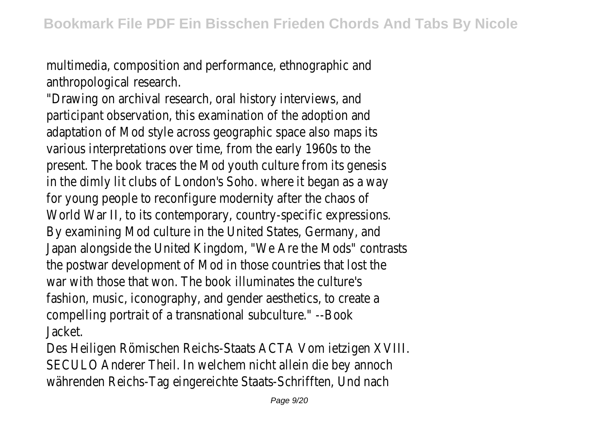multimedia, composition and performance, ethnographic and anthropological research.

"Drawing on archival research, oral history interviews, and participant observation, this examination of the adoption and adaptation of Mod style across geographic space also maps its various interpretations over time, from the early 1960s to the present. The book traces the Mod youth culture from its genesis in the dimly lit clubs of London's Soho. where it began as a way for young people to reconfigure modernity after the chaos of World War II, to its contemporary, country-specific expressions. By examining Mod culture in the United States, Germany, and Japan alongside the United Kingdom, "We Are the Mods" contrasts the postwar development of Mod in those countries that lost the war with those that won. The book illuminates the culture's fashion, music, iconography, and gender aesthetics, to create a compelling portrait of a transnational subculture." --Book Jacket.

Des Heiligen Römischen Reichs-Staats ACTA Vom ietzigen XVIII. SECULO Anderer Theil. In welchem nicht allein die bey annoch währenden Reichs-Tag eingereichte Staats-Schrifften, Und nach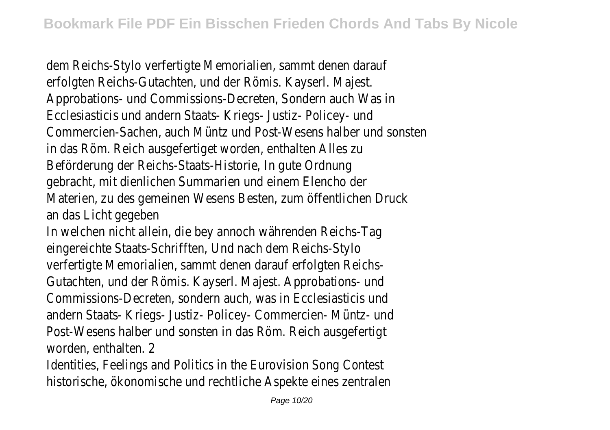dem Reichs-Stylo verfertigte Memorialien, sammt denen darauf erfolgten Reichs-Gutachten, und der Römis. Kayserl. Majest. Approbations- und Commissions-Decreten, Sondern auch Was in Ecclesiasticis und andern Staats- Kriegs- Justiz- Policey- und Commercien-Sachen, auch Müntz und Post-Wesens halber und sonsten in das Röm. Reich ausgefertiget worden, enthalten Alles zu Beförderung der Reichs-Staats-Historie, In gute Ordnung gebracht, mit dienlichen Summarien und einem Elencho der Materien, zu des gemeinen Wesens Besten, zum öffentlichen Druck an das Licht gegeben

In welchen nicht allein, die bey annoch währenden Reichs-Tag eingereichte Staats-Schrifften, Und nach dem Reichs-Stylo verfertigte Memorialien, sammt denen darauf erfolgten Reichs-Gutachten, und der Römis. Kayserl. Majest. Approbations- und Commissions-Decreten, sondern auch, was in Ecclesiasticis und andern Staats- Kriegs- Justiz- Policey- Commercien- Müntz- und Post-Wesens halber und sonsten in das Röm. Reich ausgefertigt worden, enthalten. 2

Identities, Feelings and Politics in the Eurovision Song Contest historische, ökonomische und rechtliche Aspekte eines zentralen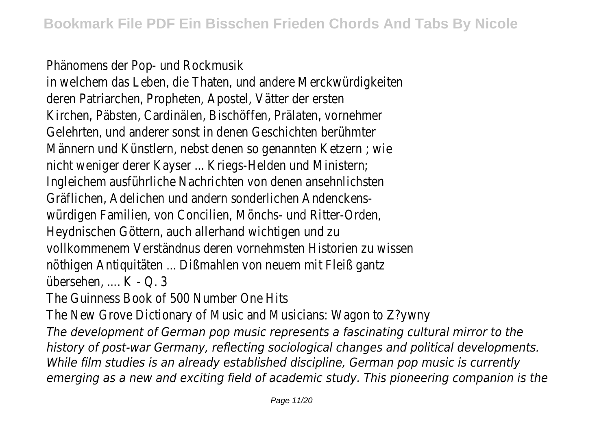Phänomens der Pop- und Rockmusik

in welchem das Leben, die Thaten, und andere Merckwürdigkeiten deren Patriarchen, Propheten, Apostel, Vätter der ersten Kirchen, Päbsten, Cardinälen, Bischöffen, Prälaten, vornehmer Gelehrten, und anderer sonst in denen Geschichten berühmter Männern und Künstlern, nebst denen so genannten Ketzern ; wie nicht weniger derer Kayser ... Kriegs-Helden und Ministern; Ingleichem ausführliche Nachrichten von denen ansehnlichsten Gräflichen, Adelichen und andern sonderlichen Andenckenswürdigen Familien, von Concilien, Mönchs- und Ritter-Orden, Heydnischen Göttern, auch allerhand wichtigen und zu vollkommenem Verständnus deren vornehmsten Historien zu wissen nöthigen Antiquitäten ... Dißmahlen von neuem mit Fleiß gantz übersehen, .... K - Q. 3

The Guinness Book of 500 Number One Hits

The New Grove Dictionary of Music and Musicians: Wagon to Z?ywny

*The development of German pop music represents a fascinating cultural mirror to the history of post-war Germany, reflecting sociological changes and political developments. While film studies is an already established discipline, German pop music is currently emerging as a new and exciting field of academic study. This pioneering companion is the*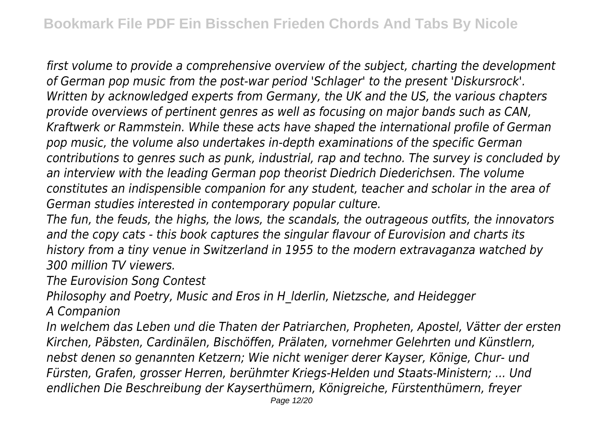*first volume to provide a comprehensive overview of the subject, charting the development of German pop music from the post-war period 'Schlager' to the present 'Diskursrock'. Written by acknowledged experts from Germany, the UK and the US, the various chapters provide overviews of pertinent genres as well as focusing on major bands such as CAN, Kraftwerk or Rammstein. While these acts have shaped the international profile of German pop music, the volume also undertakes in-depth examinations of the specific German contributions to genres such as punk, industrial, rap and techno. The survey is concluded by an interview with the leading German pop theorist Diedrich Diederichsen. The volume constitutes an indispensible companion for any student, teacher and scholar in the area of German studies interested in contemporary popular culture.*

*The fun, the feuds, the highs, the lows, the scandals, the outrageous outfits, the innovators and the copy cats - this book captures the singular flavour of Eurovision and charts its history from a tiny venue in Switzerland in 1955 to the modern extravaganza watched by 300 million TV viewers.*

*The Eurovision Song Contest*

*Philosophy and Poetry, Music and Eros in H\_lderlin, Nietzsche, and Heidegger A Companion*

*In welchem das Leben und die Thaten der Patriarchen, Propheten, Apostel, Vätter der ersten Kirchen, Päbsten, Cardinälen, Bischöffen, Prälaten, vornehmer Gelehrten und Künstlern, nebst denen so genannten Ketzern; Wie nicht weniger derer Kayser, Könige, Chur- und Fürsten, Grafen, grosser Herren, berühmter Kriegs-Helden und Staats-Ministern; ... Und endlichen Die Beschreibung der Kayserthümern, Königreiche, Fürstenthümern, freyer*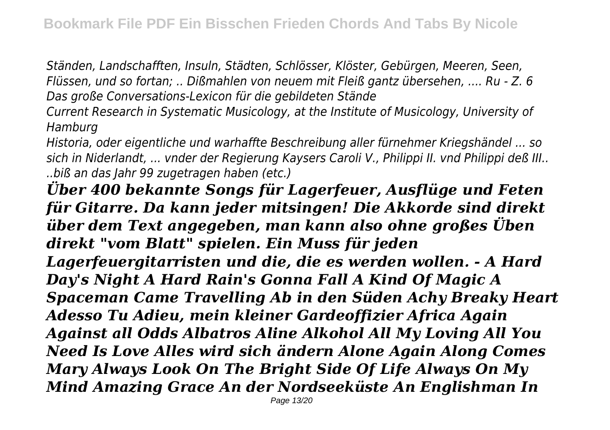*Ständen, Landschafften, Insuln, Städten, Schlösser, Klöster, Gebürgen, Meeren, Seen, Flüssen, und so fortan; .. Dißmahlen von neuem mit Fleiß gantz übersehen, .... Ru - Z. 6 Das große Conversations-Lexicon für die gebildeten Stände*

*Current Research in Systematic Musicology, at the Institute of Musicology, University of Hamburg*

*Historia, oder eigentliche und warhaffte Beschreibung aller fürnehmer Kriegshändel ... so sich in Niderlandt, ... vnder der Regierung Kaysers Caroli V., Philippi II. vnd Philippi deß III.. ..biß an das Jahr 99 zugetragen haben (etc.)*

*Über 400 bekannte Songs für Lagerfeuer, Ausflüge und Feten für Gitarre. Da kann jeder mitsingen! Die Akkorde sind direkt über dem Text angegeben, man kann also ohne großes Üben direkt "vom Blatt" spielen. Ein Muss für jeden Lagerfeuergitarristen und die, die es werden wollen. - A Hard Day's Night A Hard Rain's Gonna Fall A Kind Of Magic A Spaceman Came Travelling Ab in den Süden Achy Breaky Heart Adesso Tu Adieu, mein kleiner Gardeoffizier Africa Again Against all Odds Albatros Aline Alkohol All My Loving All You Need Is Love Alles wird sich ändern Alone Again Along Comes Mary Always Look On The Bright Side Of Life Always On My Mind Amazing Grace An der Nordseeküste An Englishman In*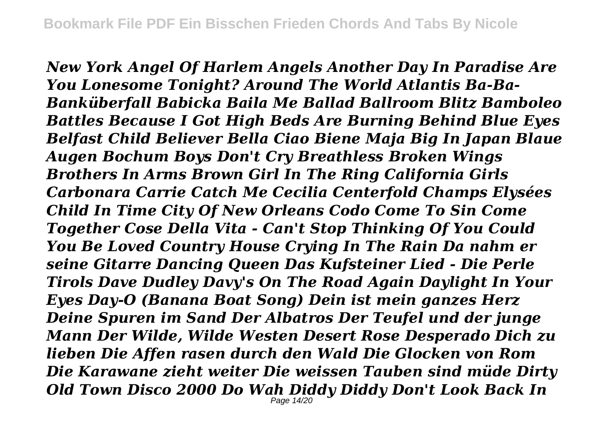*New York Angel Of Harlem Angels Another Day In Paradise Are You Lonesome Tonight? Around The World Atlantis Ba-Ba-Banküberfall Babicka Baila Me Ballad Ballroom Blitz Bamboleo Battles Because I Got High Beds Are Burning Behind Blue Eyes Belfast Child Believer Bella Ciao Biene Maja Big In Japan Blaue Augen Bochum Boys Don't Cry Breathless Broken Wings Brothers In Arms Brown Girl In The Ring California Girls Carbonara Carrie Catch Me Cecilia Centerfold Champs Elysées Child In Time City Of New Orleans Codo Come To Sin Come Together Cose Della Vita - Can't Stop Thinking Of You Could You Be Loved Country House Crying In The Rain Da nahm er seine Gitarre Dancing Queen Das Kufsteiner Lied - Die Perle Tirols Dave Dudley Davy's On The Road Again Daylight In Your Eyes Day-O (Banana Boat Song) Dein ist mein ganzes Herz Deine Spuren im Sand Der Albatros Der Teufel und der junge Mann Der Wilde, Wilde Westen Desert Rose Desperado Dich zu lieben Die Affen rasen durch den Wald Die Glocken von Rom Die Karawane zieht weiter Die weissen Tauben sind müde Dirty Old Town Disco 2000 Do Wah Diddy Diddy Don't Look Back In* Page 14/20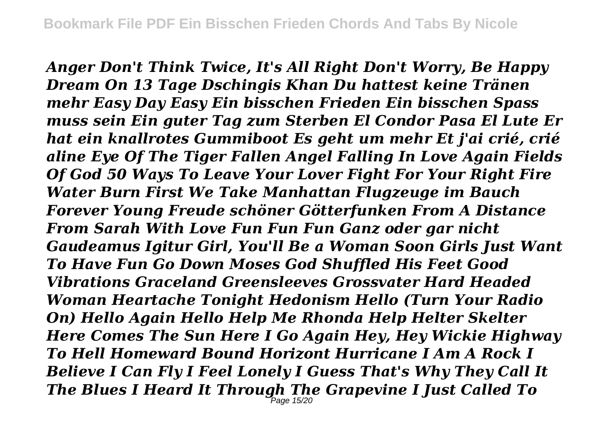*Anger Don't Think Twice, It's All Right Don't Worry, Be Happy Dream On 13 Tage Dschingis Khan Du hattest keine Tränen mehr Easy Day Easy Ein bisschen Frieden Ein bisschen Spass muss sein Ein guter Tag zum Sterben El Condor Pasa El Lute Er hat ein knallrotes Gummiboot Es geht um mehr Et j'ai crié, crié aline Eye Of The Tiger Fallen Angel Falling In Love Again Fields Of God 50 Ways To Leave Your Lover Fight For Your Right Fire Water Burn First We Take Manhattan Flugzeuge im Bauch Forever Young Freude schöner Götterfunken From A Distance From Sarah With Love Fun Fun Fun Ganz oder gar nicht Gaudeamus Igitur Girl, You'll Be a Woman Soon Girls Just Want To Have Fun Go Down Moses God Shuffled His Feet Good Vibrations Graceland Greensleeves Grossvater Hard Headed Woman Heartache Tonight Hedonism Hello (Turn Your Radio On) Hello Again Hello Help Me Rhonda Help Helter Skelter Here Comes The Sun Here I Go Again Hey, Hey Wickie Highway To Hell Homeward Bound Horizont Hurricane I Am A Rock I Believe I Can Fly I Feel Lonely I Guess That's Why They Call It The Blues I Heard It Through The Grapevine I Just Called To* Page 15/20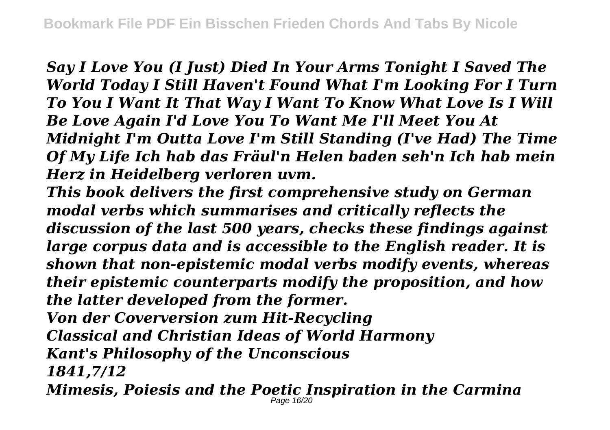*Say I Love You (I Just) Died In Your Arms Tonight I Saved The World Today I Still Haven't Found What I'm Looking For I Turn To You I Want It That Way I Want To Know What Love Is I Will Be Love Again I'd Love You To Want Me I'll Meet You At Midnight I'm Outta Love I'm Still Standing (I've Had) The Time Of My Life Ich hab das Fräul'n Helen baden seh'n Ich hab mein Herz in Heidelberg verloren uvm.*

*This book delivers the first comprehensive study on German modal verbs which summarises and critically reflects the discussion of the last 500 years, checks these findings against large corpus data and is accessible to the English reader. It is shown that non-epistemic modal verbs modify events, whereas their epistemic counterparts modify the proposition, and how the latter developed from the former. Von der Coverversion zum Hit-Recycling*

*Classical and Christian Ideas of World Harmony*

*Kant's Philosophy of the Unconscious*

*1841,7/12*

*Mimesis, Poiesis and the Poetic Inspiration in the Carmina* Page 16/20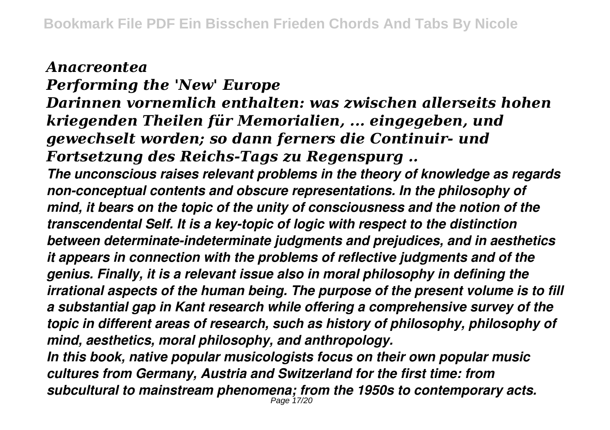*Anacreontea Performing the 'New' Europe Darinnen vornemlich enthalten: was zwischen allerseits hohen kriegenden Theilen für Memorialien, ... eingegeben, und gewechselt worden; so dann ferners die Continuir- und Fortsetzung des Reichs-Tags zu Regenspurg .. The unconscious raises relevant problems in the theory of knowledge as regards non-conceptual contents and obscure representations. In the philosophy of mind, it bears on the topic of the unity of consciousness and the notion of the transcendental Self. It is a key-topic of logic with respect to the distinction between determinate-indeterminate judgments and prejudices, and in aesthetics it appears in connection with the problems of reflective judgments and of the genius. Finally, it is a relevant issue also in moral philosophy in defining the irrational aspects of the human being. The purpose of the present volume is to fill a substantial gap in Kant research while offering a comprehensive survey of the topic in different areas of research, such as history of philosophy, philosophy of mind, aesthetics, moral philosophy, and anthropology. In this book, native popular musicologists focus on their own popular music cultures from Germany, Austria and Switzerland for the first time: from*

*subcultural to mainstream phenomena; from the 1950s to contemporary acts.* Page 17/20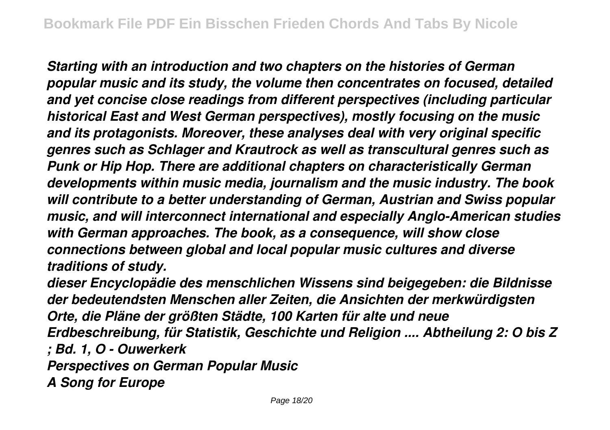*Starting with an introduction and two chapters on the histories of German popular music and its study, the volume then concentrates on focused, detailed and yet concise close readings from different perspectives (including particular historical East and West German perspectives), mostly focusing on the music and its protagonists. Moreover, these analyses deal with very original specific genres such as Schlager and Krautrock as well as transcultural genres such as Punk or Hip Hop. There are additional chapters on characteristically German developments within music media, journalism and the music industry. The book will contribute to a better understanding of German, Austrian and Swiss popular music, and will interconnect international and especially Anglo-American studies with German approaches. The book, as a consequence, will show close connections between global and local popular music cultures and diverse traditions of study.*

*dieser Encyclopädie des menschlichen Wissens sind beigegeben: die Bildnisse der bedeutendsten Menschen aller Zeiten, die Ansichten der merkwürdigsten Orte, die Pläne der größten Städte, 100 Karten für alte und neue Erdbeschreibung, für Statistik, Geschichte und Religion .... Abtheilung 2: O bis Z ; Bd. 1, O - Ouwerkerk Perspectives on German Popular Music A Song for Europe*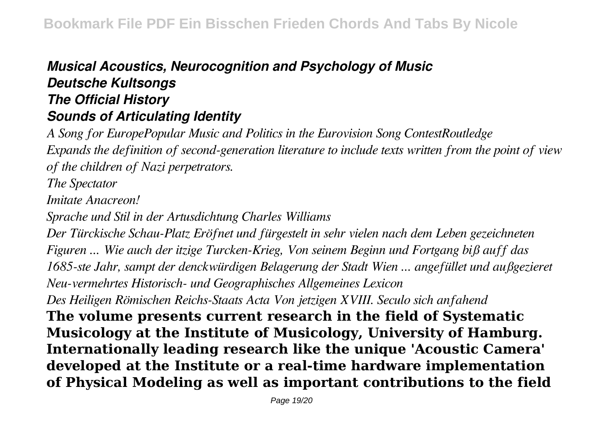## *Musical Acoustics, Neurocognition and Psychology of Music Deutsche Kultsongs The Official History Sounds of Articulating Identity*

*A Song for EuropePopular Music and Politics in the Eurovision Song ContestRoutledge Expands the definition of second-generation literature to include texts written from the point of view of the children of Nazi perpetrators. The Spectator Imitate Anacreon! Sprache und Stil in der Artusdichtung Charles Williams Der Türckische Schau-Platz Eröfnet und fürgestelt in sehr vielen nach dem Leben gezeichneten Figuren ... Wie auch der itzige Turcken-Krieg, Von seinem Beginn und Fortgang biß auff das 1685-ste Jahr, sampt der denckwürdigen Belagerung der Stadt Wien ... angefüllet und außgezieret Neu-vermehrtes Historisch- und Geographisches Allgemeines Lexicon Des Heiligen Römischen Reichs-Staats Acta Von jetzigen XVIII. Seculo sich anfahend* **The volume presents current research in the field of Systematic Musicology at the Institute of Musicology, University of Hamburg. Internationally leading research like the unique 'Acoustic Camera' developed at the Institute or a real-time hardware implementation of Physical Modeling as well as important contributions to the field**